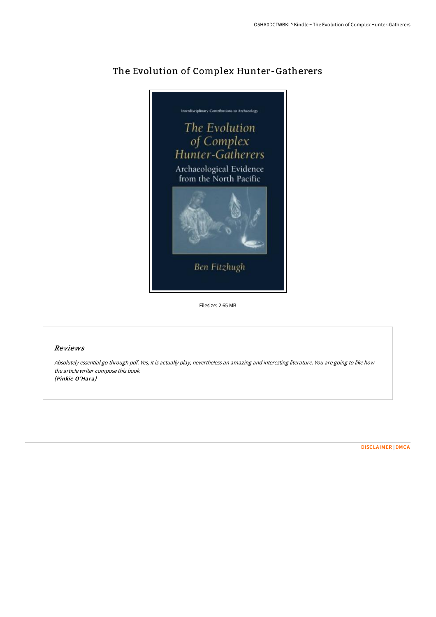

# The Evolution of Complex Hunter-Gatherers

Filesize: 2.65 MB

#### Reviews

Absolutely essential go through pdf. Yes, it is actually play, nevertheless an amazing and interesting literature. You are going to like how the article writer compose this book. (Pinkie O'Hara)

[DISCLAIMER](http://albedo.media/disclaimer.html) | [DMCA](http://albedo.media/dmca.html)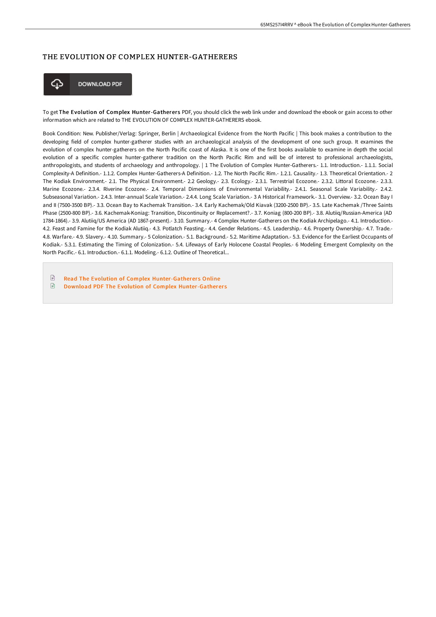### THE EVOLUTION OF COMPLEX HUNTER-GATHERERS



**DOWNLOAD PDF** 

To get The Evolution of Complex Hunter-Gatherers PDF, you should click the web link under and download the ebook or gain access to other information which are related to THE EVOLUTION OF COMPLEX HUNTER-GATHERERS ebook.

Book Condition: New. Publisher/Verlag: Springer, Berlin | Archaeological Evidence from the North Pacific | This book makes a contribution to the developing field of complex hunter-gatherer studies with an archaeological analysis of the development of one such group. It examines the evolution of complex hunter-gatherers on the North Pacific coast of Alaska. It is one of the first books available to examine in depth the social evolution of a specific complex hunter-gatherer tradition on the North Pacific Rim and will be of interest to professional archaeologists, anthropologists, and students of archaeology and anthropology. | 1 The Evolution of Complex Hunter-Gatherers.- 1.1. Introduction.- 1.1.1. Social Complexity-A Definition.- 1.1.2. Complex Hunter-Gatherers-A Definition.- 1.2. The North Pacific Rim.- 1.2.1. Causality.- 1.3. Theoretical Orientation.- 2 The Kodiak Environment.- 2.1. The Physical Environment.- 2.2 Geology.- 2.3. Ecology.- 2.3.1. Terrestrial Ecozone.- 2.3.2. Littoral Ecozone.- 2.3.3. Marine Ecozone.- 2.3.4. Riverine Ecozone.- 2.4. Temporal Dimensions of Environmental Variability.- 2.4.1. Seasonal Scale Variability.- 2.4.2. Subseasonal Variation.- 2.4.3. Inter-annual Scale Variation.- 2.4.4. Long Scale Variation.- 3 A Historical Framework.- 3.1. Overview.- 3.2. Ocean Bay I and II (7500-3500 BP).- 3.3. Ocean Bay to Kachemak Transition.- 3.4. Early Kachemak/Old Kiavak (3200-2500 BP).- 3.5. Late Kachemak /Three Saints Phase (2500-800 BP).- 3.6. Kachemak-Koniag: Transition, Discontinuity or Replacement?.- 3.7. Koniag (800-200 BP).- 3.8. Alutiiq/Russian-America (AD 1784-1864).- 3.9. Alutiiq/US America (AD 1867-present).- 3.10. Summary.- 4 Complex Hunter-Gatherers on the Kodiak Archipelago.- 4.1. Introduction.- 4.2. Feast and Famine for the Kodiak Alutiiq.- 4.3. Potlatch Feasting.- 4.4. Gender Relations.- 4.5. Leadership.- 4.6. Property Ownership.- 4.7. Trade.- 4.8. Warfare.- 4.9. Slavery.- 4.10. Summary.- 5 Colonization.- 5.1. Background.- 5.2. Maritime Adaptation.- 5.3. Evidence for the Earliest Occupants of Kodiak.- 5.3.1. Estimating the Timing of Colonization.- 5.4. Lifeways of Early Holocene Coastal Peoples.- 6 Modeling Emergent Complexity on the North Pacific.- 6.1. Introduction.- 6.1.1. Modeling.- 6.1.2. Outline of Theoretical...

 $\boxed{=}$ Read The Evolution of Complex [Hunter-Gatherer](http://albedo.media/the-evolution-of-complex-hunter-gatherers.html)s Online  $\mathbb{R}$ Download PDF The Evolution of Complex [Hunter-Gatherer](http://albedo.media/the-evolution-of-complex-hunter-gatherers.html) s